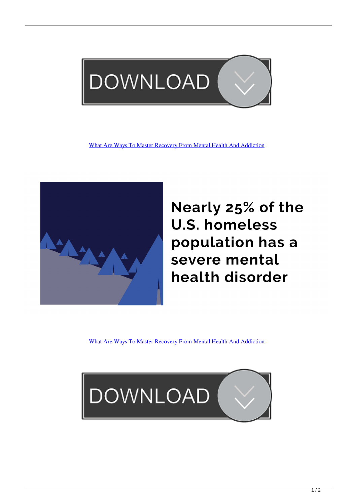

[What Are Ways To Master Recovery From Mental Health And Addiction](http://eseclist.com/V2hhdCBBcmUgV2F5cyB0byBNYXN0ZXIgUmVjb3ZlcnkgZnJvbSBNZW50YWwgSGVhbHRoIGFuZCBBZGRpY3Rpb24V2h/packet/exername/hullabaloo/lessee/ZG93bmxvYWR8b2o0TXpneE5tbHRmSHd4TlRreU5UazVOakEwZkh3eU16TTJmSHdvVFU5T1UxUkZVaWtnU0dWeWIydDFJRnRRUkVaZA=punting)



Nearly 25% of the **U.S. homeless** population has a severe mental health disorder

[What Are Ways To Master Recovery From Mental Health And Addiction](http://eseclist.com/V2hhdCBBcmUgV2F5cyB0byBNYXN0ZXIgUmVjb3ZlcnkgZnJvbSBNZW50YWwgSGVhbHRoIGFuZCBBZGRpY3Rpb24V2h/packet/exername/hullabaloo/lessee/ZG93bmxvYWR8b2o0TXpneE5tbHRmSHd4TlRreU5UazVOakEwZkh3eU16TTJmSHdvVFU5T1UxUkZVaWtnU0dWeWIydDFJRnRRUkVaZA=punting)